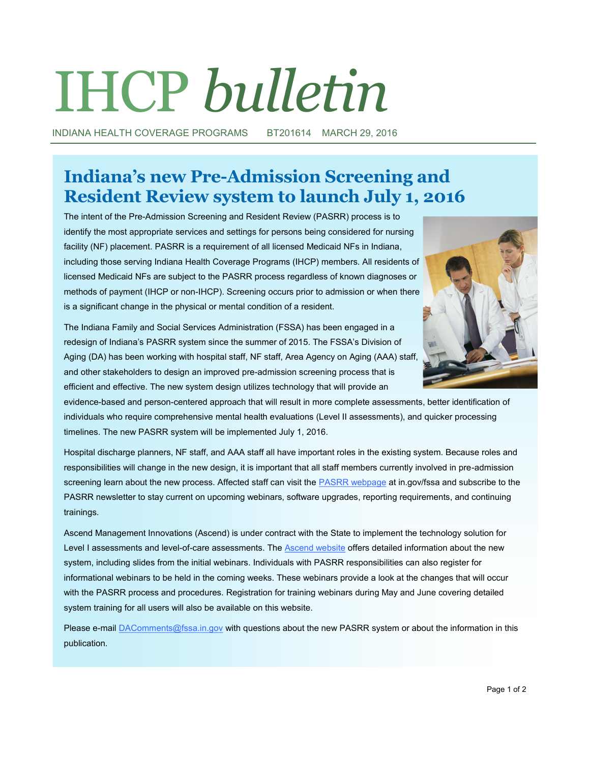# IHCP *bulletin*

INDIANA HEALTH COVERAGE PROGRAMS BT201614 MARCH 29, 2016

# **Indiana's new Pre-Admission Screening and Resident Review system to launch July 1, 2016**

The intent of the Pre-Admission Screening and Resident Review (PASRR) process is to identify the most appropriate services and settings for persons being considered for nursing facility (NF) placement. PASRR is a requirement of all licensed Medicaid NFs in Indiana, including those serving Indiana Health Coverage Programs (IHCP) members. All residents of licensed Medicaid NFs are subject to the PASRR process regardless of known diagnoses or methods of payment (IHCP or non-IHCP). Screening occurs prior to admission or when there is a significant change in the physical or mental condition of a resident.

The Indiana Family and Social Services Administration (FSSA) has been engaged in a redesign of Indiana's PASRR system since the summer of 2015. The FSSA's Division of Aging (DA) has been working with hospital staff, NF staff, Area Agency on Aging (AAA) staff, and other stakeholders to design an improved pre-admission screening process that is efficient and effective. The new system design utilizes technology that will provide an



evidence-based and person-centered approach that will result in more complete assessments, better identification of individuals who require comprehensive mental health evaluations (Level II assessments), and quicker processing timelines. The new PASRR system will be implemented July 1, 2016.

Hospital discharge planners, NF staff, and AAA staff all have important roles in the existing system. Because roles and responsibilities will change in the new design, it is important that all staff members currently involved in pre-admission screening learn about the new process. Affected staff can visit the [PASRR webpage](http://www.in.gov/fssa/da/5011.htm) at in.gov/fssa and subscribe to the PASRR newsletter to stay current on upcoming webinars, software upgrades, reporting requirements, and continuing trainings.

Ascend Management Innovations (Ascend) is under contract with the State to implement the technology solution for Level I assessments and level-of-care assessments. The [Ascend website](https://www.ascendami.com/ami/Providers/YourState/IndianaPASRRUserTools.aspx) offers detailed information about the new system, including slides from the initial webinars. Individuals with PASRR responsibilities can also register for informational webinars to be held in the coming weeks. These webinars provide a look at the changes that will occur with the PASRR process and procedures. Registration for training webinars during May and June covering detailed system training for all users will also be available on this website.

Please e-mail **DAComments@fssa.in.gov** with questions about the new PASRR system or about the information in this publication.